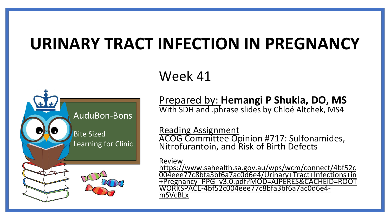# **URINARY TRACT INFECTION IN PREGNANCY**

## Week 41



Prepared by: **Hemangi P Shukla, DO, MS** With SDH and .phrase slides by Chloé Altchek, MS4

Reading Assignment

ACOG Committee Opinion #717: Sulfonamides, Nitrofurantoin, and Risk of Birth Defects

Review

https://www.sahealth.sa.gov.au/wps/wcm/connect/4bf52c 004eee77c8bfa3bf6a7ac0d6e4/Urinary+Tract+Infections+in [+Pregnancy\\_PPG\\_v3.0.pdf?MOD=AJPERES&CACHEID=ROOT](https://www.sahealth.sa.gov.au/wps/wcm/connect/4bf52c004eee77c8bfa3bf6a7ac0d6e4/Urinary+Tract+Infections+in+Pregnancy_PPG_v3.0.pdf?MOD=AJPERES&CACHEID=ROOTWORKSPACE-4bf52c004eee77c8bfa3bf6a7ac0d6e4-mSVcBLx) WORKSPACE-4bf52c004eee77c8bfa3bf6a7ac0d6e4 mSVcBLx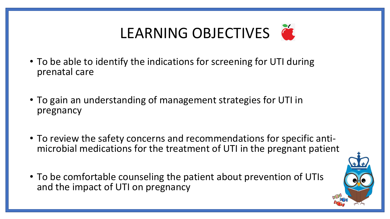# LEARNING OBJECTIVES

- To be able to identify the indications for screening for UTI during prenatal care
- To gain an understanding of management strategies for UTI in pregnancy
- To review the safety concerns and recommendations for specific antimicrobial medications for the treatment of UTI in the pregnant patient
- To be comfortable counseling the patient about prevention of UTIs and the impact of UTI on pregnancy

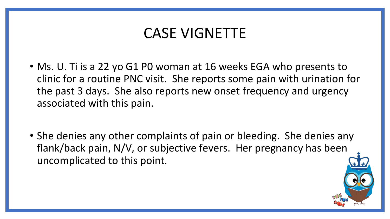### CASE VIGNETTE

- Ms. U. Ti is a 22 yo G1 P0 woman at 16 weeks EGA who presents to clinic for a routine PNC visit. She reports some pain with urination for the past 3 days. She also reports new onset frequency and urgency associated with this pain.
- She denies any other complaints of pain or bleeding. She denies any flank/back pain, N/V, or subjective fevers. Her pregnancy has been uncomplicated to this point.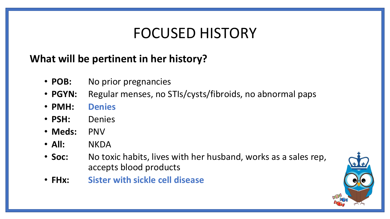## FOCUSED HISTORY

### **What will be pertinent in her history?**

- **POB:** No prior pregnancies
- **PGYN:** Regular menses, no STIs/cysts/fibroids, no abnormal paps
- **PMH: Denies**
- **PSH:** Denies
- **Meds:** PNV
- **All:** NKDA
- **Soc:** No toxic habits, lives with her husband, works as a sales rep, accepts blood products
- **FHx: Sister with sickle cell disease**

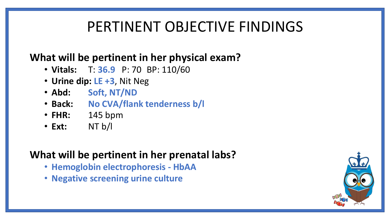# PERTINENT OBJECTIVE FINDINGS

#### **What will be pertinent in her physical exam?**

- **Vitals:** T: **36.9** P: 70 BP: 110/60
- **Urine dip: LE +3**, Nit Neg
- **Abd: Soft, NT/ND**
- **Back: No CVA/flank tenderness b/l**
- **FHR:** 145 bpm
- **Ext:** NT b/l

#### **What will be pertinent in her prenatal labs?**

- **Hemoglobin electrophoresis - HbAA**
- **Negative screening urine culture**

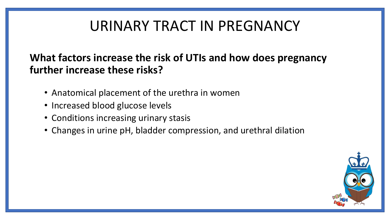# URINARY TRACT IN PREGNANCY

#### **What factors increase the risk of UTIs and how does pregnancy further increase these risks?**

- Anatomical placement of the urethra in women
- Increased blood glucose levels
- Conditions increasing urinary stasis
- Changes in urine pH, bladder compression, and urethral dilation

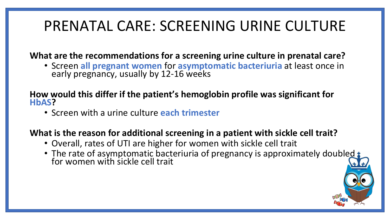# PRENATAL CARE: SCREENING URINE CULTURE

**What are the recommendations for a screening urine culture in prenatal care?**

• Screen **all pregnant women** for **asymptomatic bacteriuria** at least once in early pregnancy, usually by 12-16 weeks

#### **How would this differ if the patient's hemoglobin profile was significant for HbAS?**

• Screen with a urine culture **each trimester**

#### **What is the reason for additional screening in a patient with sickle cell trait?**

- Overall, rates of UTI are higher for women with sickle cell trait
- The rate of asymptomatic bacteriuria of pregnancy is approximately doubled for women with sickle cell trait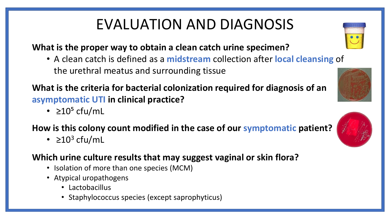# EVALUATION AND DIAGNOSIS

#### **What is the proper way to obtain a clean catch urine specimen?**

• A clean catch is defined as a **midstream** collection after **local cleansing** of the urethral meatus and surrounding tissue

**What is the criteria for bacterial colonization required for diagnosis of an asymptomatic UTI in clinical practice?**

•  $\geq 10^5$  cfu/mL

#### **How is this colony count modified in the case of our symptomatic patient?**

•  $\geq 10^3$  cfu/mL

#### **Which urine culture results that may suggest vaginal or skin flora?**

- Isolation of more than one species (MCM)
- Atypical uropathogens
	- Lactobacillus
	- Staphylococcus species (except saprophyticus)





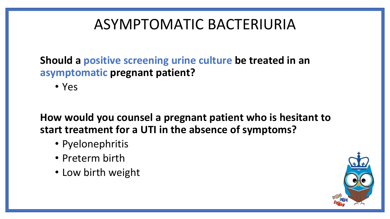# ASYMPTOMATIC BACTERIURIA

**Should a positive screening urine culture be treated in an asymptomatic pregnant patient?**

• Yes

**How would you counsel a pregnant patient who is hesitant to start treatment for a UTI in the absence of symptoms?**

- Pyelonephritis
- Preterm birth
- Low birth weight

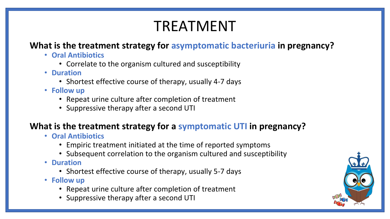# TREATMENT

#### **What is the treatment strategy for asymptomatic bacteriuria in pregnancy?**

- **Oral Antibiotics**
	- Correlate to the organism cultured and susceptibility
- **Duration**
	- Shortest effective course of therapy, usually 4-7 days
- **Follow up**
	- Repeat urine culture after completion of treatment
	- Suppressive therapy after a second UTI

#### **What is the treatment strategy for a symptomatic UTI in pregnancy?**

- **Oral Antibiotics**
	- Empiric treatment initiated at the time of reported symptoms
	- Subsequent correlation to the organism cultured and susceptibility
- **Duration**
	- Shortest effective course of therapy, usually 5-7 days
- **Follow up**
	- Repeat urine culture after completion of treatment
	- Suppressive therapy after a second UTI

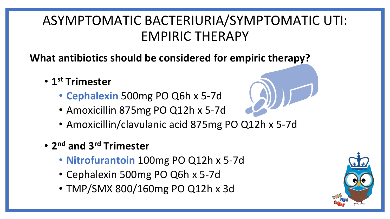### ASYMPTOMATIC BACTERIURIA/SYMPTOMATIC UTI: EMPIRIC THERAPY

**What antibiotics should be considered for empiric therapy?**

- **1 st Trimester**
	- **Cephalexin** 500mg PO Q6h x 5-7d
	- Amoxicillin 875mg PO Q12h x 5-7d
	- Amoxicillin/clavulanic acid 875mg PO Q12h x 5-7d
- **2 nd and 3rd Trimester**
	- **Nitrofurantoin** 100mg PO Q12h x 5-7d
	- Cephalexin 500mg PO Q6h x 5-7d
	- TMP/SMX 800/160mg PO Q12h x 3d

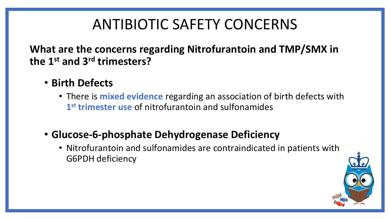# ANTIBIOTIC SAFETY CONCERNS

**What are the concerns regarding Nitrofurantoin and TMP/SMX in the 1st and 3rd trimesters?**

- **Birth Defects**
	- There is **mixed evidence** regarding an association of birth defects with **1 st trimester use** of nitrofurantoin and sulfonamides
- **Glucose-6-phosphate Dehydrogenase Deficiency**
	- Nitrofurantoin and sulfonamides are contraindicated in patients with G6PDH deficiency

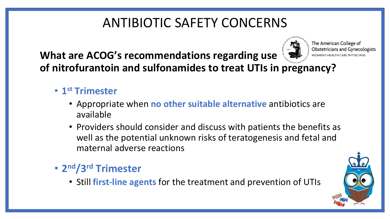### ANTIBIOTIC SAFETY CONCERNS

**Obstetricians and Gynecologists What are ACOG's recommendations regarding use**  WOMEN'S HEALTH CARE PHYSICIANS **of nitrofurantoin and sulfonamides to treat UTIs in pregnancy?**

- **1 st Trimester** 
	- Appropriate when **no other suitable alternative** antibiotics are available
	- Providers should consider and discuss with patients the benefits as well as the potential unknown risks of teratogenesis and fetal and maternal adverse reactions

### • **2 nd/3rd Trimester**

• Still **first-line agents** for the treatment and prevention of UTIs



The American College of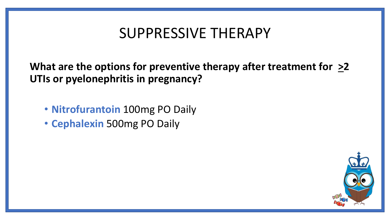### SUPPRESSIVE THERAPY

What are the options for preventive therapy after treatment for  $\geq 2$ **UTIs or pyelonephritis in pregnancy?**

- **Nitrofurantoin** 100mg PO Daily
- **Cephalexin** 500mg PO Daily

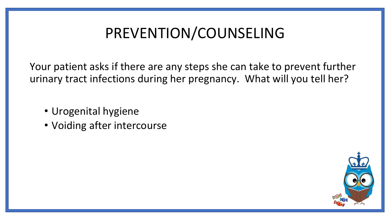# PREVENTION/COUNSELING

Your patient asks if there are any steps she can take to prevent further urinary tract infections during her pregnancy. What will you tell her?

- Urogenital hygiene
- Voiding after intercourse

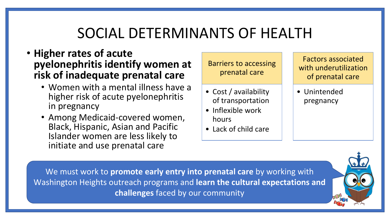## SOCIAL DETERMINANTS OF HEALTH

- **Higher rates of acute pyelonephritis identify women at risk of inadequate prenatal care**
	- Women with a mental illness have a higher risk of acute pyelonephritis in pregnancy
	- Among Medicaid-covered women, Black, Hispanic, Asian and Pacific Islander women are less likely to initiate and use prenatal care

Barriers to accessing prenatal care

- Cost / availability of transportation
- Inflexible work hours
- Lack of child care

Factors associated with underutilization of prenatal care

• Unintended pregnancy

We must work to **promote early entry into prenatal care** by working with Washington Heights outreach programs and **learn the cultural expectations and challenges** faced by our community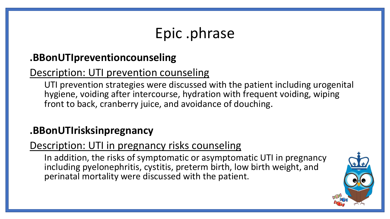# Epic .phrase

### **.BBonUTIpreventioncounseling**

### Description: UTI prevention counseling

UTI prevention strategies were discussed with the patient including urogenital hygiene, voiding after intercourse, hydration with frequent voiding, wiping front to back, cranberry juice, and avoidance of douching.

### **.BBonUTIrisksinpregnancy**

### Description: UTI in pregnancy risks counseling

In addition, the risks of symptomatic or asymptomatic UTI in pregnancy including pyelonephritis, cystitis, preterm birth, low birth weight, and perinatal mortality were discussed with the patient.

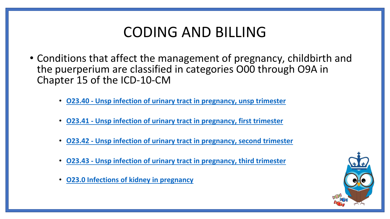## CODING AND BILLING

- Conditions that affect the management of pregnancy, childbirth and the puerperium are classified in categories O00 through O9A in Chapter 15 of the ICD-10-CM
	- **O23.40 - Unsp infection of urinary tract in [pregnancy, unsp trimester](https://www.findacode.com/code.php?set=ICD10CM&c=O23.40)**
	- **O23.41 - Unsp infection of urinary tract in [pregnancy, first trimester](https://www.findacode.com/code.php?set=ICD10CM&c=O23.40)**
	- **O23.42 - Unsp infection of urinary tract in [pregnancy, second trimester](https://www.findacode.com/code.php?set=ICD10CM&c=O23.40)**
	- **O23.43 - Unsp infection of urinary tract in [pregnancy, third trimester](https://www.findacode.com/code.php?set=ICD10CM&c=O23.40)**
	- **O23.0 [Infections of kidney](https://www.findacode.com/code-set.php?set=ICD10CM&i=24327) in pregnancy**